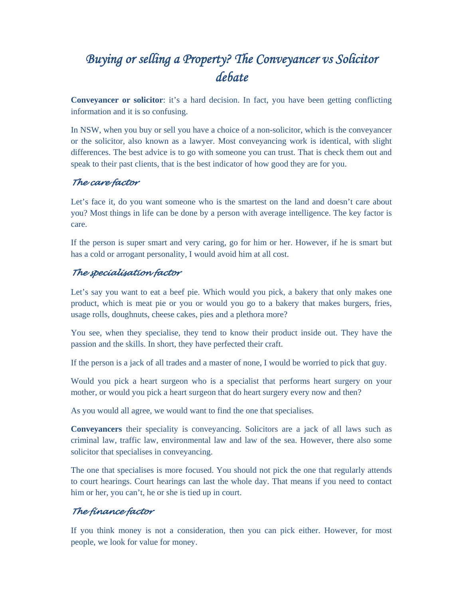# *Buying or selling a Property? The Conveyancer vs Solicitor debate*

**Conveyancer or solicitor**: it's a hard decision. In fact, you have been getting conflicting information and it is so confusing.

In NSW, when you buy or sell you have a choice of a non-solicitor, which is the conveyancer or the solicitor, also known as a lawyer. Most conveyancing work is identical, with slight differences. The best advice is to go with someone you can trust. That is check them out and speak to their past clients, that is the best indicator of how good they are for you.

### *The care factor*

Let's face it, do you want someone who is the smartest on the land and doesn't care about you? Most things in life can be done by a person with average intelligence. The key factor is care.

If the person is super smart and very caring, go for him or her. However, if he is smart but has a cold or arrogant personality, I would avoid him at all cost.

#### *The specialisation factor*

Let's say you want to eat a beef pie. Which would you pick, a bakery that only makes one product, which is meat pie or you or would you go to a bakery that makes burgers, fries, usage rolls, doughnuts, cheese cakes, pies and a plethora more?

You see, when they specialise, they tend to know their product inside out. They have the passion and the skills. In short, they have perfected their craft.

If the person is a jack of all trades and a master of none, I would be worried to pick that guy.

Would you pick a heart surgeon who is a specialist that performs heart surgery on your mother, or would you pick a heart surgeon that do heart surgery every now and then?

As you would all agree, we would want to find the one that specialises.

**Conveyancers** their speciality is conveyancing. Solicitors are a jack of all laws such as criminal law, traffic law, environmental law and law of the sea. However, there also some solicitor that specialises in conveyancing.

The one that specialises is more focused. You should not pick the one that regularly attends to court hearings. Court hearings can last the whole day. That means if you need to contact him or her, you can't, he or she is tied up in court.

## *The finance factor*

If you think money is not a consideration, then you can pick either. However, for most people, we look for value for money.